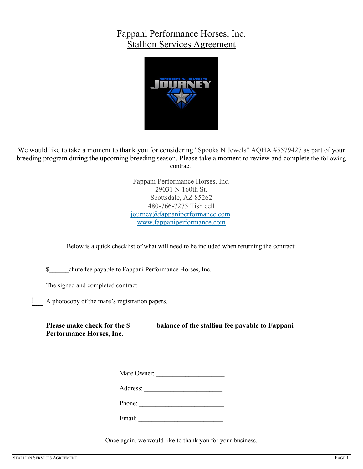# Fappani Performance Horses, Inc. Stallion Services Agreement



We would like to take a moment to thank you for considering "Spooks N Jewels" AQHA #5579427 as part of your breeding program during the upcoming breeding season. Please take a moment to review and complete the following contract.

> Fappani Performance Horses, Inc. 29031 N 160th St. Scottsdale, AZ 85262 480-766-7275 Tish cell journey@fappaniperformance.com www.fappaniperformance.com

Below is a quick checklist of what will need to be included when returning the contract:

\$\_\_\_\_\_\_chute fee payable to Fappani Performance Horses, Inc.

The signed and completed contract.

A photocopy of the mare's registration papers.

**Please make check for the \$\_\_\_\_\_\_\_ balance of the stallion fee payable to Fappani Performance Horses, Inc.**

| Mare Owner: |  |  |  |
|-------------|--|--|--|
| Address:    |  |  |  |
| Phone:      |  |  |  |

Email:

Once again, we would like to thank you for your business.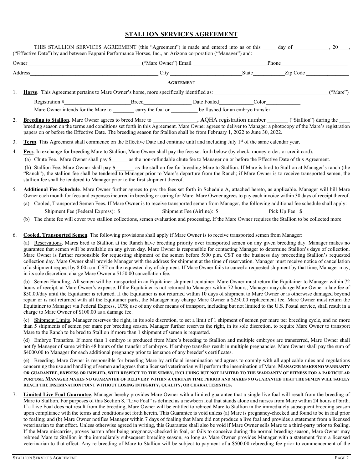## **STALLION SERVICES AGREEMENT**

|                                                                                                                                                                                                                               | THIS STALLION SERVICES AGREEMENT (this "Agreement") is made and entered into as of this day of , 20,<br>("Effective Date") by and between Fappani Performance Horses, Inc., an Arizona corporation ("Manager") and:                                                                                                                                                                                                                                                                                                                                                                                                                                                                                                                                                                                                                                                                                                                                                                      |  |                  |  |       |  |  |  |  |
|-------------------------------------------------------------------------------------------------------------------------------------------------------------------------------------------------------------------------------|------------------------------------------------------------------------------------------------------------------------------------------------------------------------------------------------------------------------------------------------------------------------------------------------------------------------------------------------------------------------------------------------------------------------------------------------------------------------------------------------------------------------------------------------------------------------------------------------------------------------------------------------------------------------------------------------------------------------------------------------------------------------------------------------------------------------------------------------------------------------------------------------------------------------------------------------------------------------------------------|--|------------------|--|-------|--|--|--|--|
| Owner Phone Phone Phone Phone Phone Phone Phone Phone Phone Phone Phone Phone Phone Phone Phone Phone Phone Phone Phone Phone Phone Phone Phone Phone Phone Phone Phone Phone Phone Phone Phone Phone Phone Phone Phone Phone |                                                                                                                                                                                                                                                                                                                                                                                                                                                                                                                                                                                                                                                                                                                                                                                                                                                                                                                                                                                          |  |                  |  |       |  |  |  |  |
|                                                                                                                                                                                                                               |                                                                                                                                                                                                                                                                                                                                                                                                                                                                                                                                                                                                                                                                                                                                                                                                                                                                                                                                                                                          |  |                  |  |       |  |  |  |  |
|                                                                                                                                                                                                                               |                                                                                                                                                                                                                                                                                                                                                                                                                                                                                                                                                                                                                                                                                                                                                                                                                                                                                                                                                                                          |  | <b>AGREEMENT</b> |  |       |  |  |  |  |
| 1.                                                                                                                                                                                                                            | ("Mare")<br><b>Horse</b> . This Agreement pertains to Mare Owner's horse, more specifically identified as:                                                                                                                                                                                                                                                                                                                                                                                                                                                                                                                                                                                                                                                                                                                                                                                                                                                                               |  |                  |  |       |  |  |  |  |
|                                                                                                                                                                                                                               | Registration # Breed Date Foaled                                                                                                                                                                                                                                                                                                                                                                                                                                                                                                                                                                                                                                                                                                                                                                                                                                                                                                                                                         |  |                  |  | Color |  |  |  |  |
|                                                                                                                                                                                                                               | Mare Owner intends for the Mare to carry the foal or be flushed for an embryo transfer                                                                                                                                                                                                                                                                                                                                                                                                                                                                                                                                                                                                                                                                                                                                                                                                                                                                                                   |  |                  |  |       |  |  |  |  |
| 2.                                                                                                                                                                                                                            | Breeding to Stallion. Mare Owner agrees to breed Mare to ______________, AQHA registration number ______ ("Stallion") during the<br>breeding season on the terms and conditions set forth in this Agreement. Mare Owner agrees to deliver to Manager a photocopy of the Mare's registration<br>papers on or before the Effective Date. The breeding season for Stallion shall be from February 1, 2022 to June 30, 2022.                                                                                                                                                                                                                                                                                                                                                                                                                                                                                                                                                                 |  |                  |  |       |  |  |  |  |
| 3.                                                                                                                                                                                                                            | Term. This Agreement shall commence on the Effective Date and continue until and including July 1 <sup>st</sup> of the same calendar year.                                                                                                                                                                                                                                                                                                                                                                                                                                                                                                                                                                                                                                                                                                                                                                                                                                               |  |                  |  |       |  |  |  |  |
| 4.                                                                                                                                                                                                                            | Fees. In exchange for breeding Mare to Stallion, Mare Owner shall pay the fees set forth below (by check, money order, or credit card):<br>(a) Chute Fee. Mare Owner shall pay \$_______ as the non-refundable chute fee to Manager on or before the Effective Date of this Agreement.<br>(b) Stallion Fee. Mare Owner shall pay \$_______ as the stallion fee for breeding Mare to Stallion. If Mare is bred to Stallion at Manager's ranch (the<br>"Ranch"), the stallion fee shall be tendered to Manager prior to Mare's departure from the Ranch; if Mare Owner is to receive transported semen, the<br>stallion fee shall be tendered to Manager prior to the first shipment thereof.                                                                                                                                                                                                                                                                                              |  |                  |  |       |  |  |  |  |
| 5.                                                                                                                                                                                                                            | Additional Fee Schedule. Mare Owner further agrees to pay the fees set forth in Schedule A, attached hereto, as applicable. Manager will bill Mare<br>Owner each month for fees and expenses incurred in breeding or caring for Mare. Mare Owner agrees to pay each invoice within 30 days of receipt thereof.                                                                                                                                                                                                                                                                                                                                                                                                                                                                                                                                                                                                                                                                           |  |                  |  |       |  |  |  |  |
|                                                                                                                                                                                                                               | (a) Cooled, Transported Semen Fees. If Mare Owner is to receive transported semen from Manager, the following additional fee schedule shall apply:                                                                                                                                                                                                                                                                                                                                                                                                                                                                                                                                                                                                                                                                                                                                                                                                                                       |  |                  |  |       |  |  |  |  |
|                                                                                                                                                                                                                               | Shipment Fee (Federal Express): \$ Shipment Fee (Airline): \$ Pick Up Fee: \$                                                                                                                                                                                                                                                                                                                                                                                                                                                                                                                                                                                                                                                                                                                                                                                                                                                                                                            |  |                  |  |       |  |  |  |  |
|                                                                                                                                                                                                                               | The chute fee will cover two stallion collections, semen evaluation and processing. If the Mare Owner requires the Stallion to be collected more<br>(b)                                                                                                                                                                                                                                                                                                                                                                                                                                                                                                                                                                                                                                                                                                                                                                                                                                  |  |                  |  |       |  |  |  |  |
| 6.                                                                                                                                                                                                                            | Cooled, Transported Semen. The following provisions shall apply if Mare Owner is to receive transported semen from Manager:<br>(a) Reservations. Mares bred to Stallion at the Ranch have breeding priority over transported semen on any given breeding day. Manager makes no<br>guarantee that semen will be available on any given day. Mare Owner is responsible for contacting Manager to determine Stallion's days of collection.<br>Mare Owner is further responsible for requesting shipment of the semen before 5:00 p.m. CST on the business day proceeding Stallion's requested<br>collection day. Mare Owner shall provide Manager with the address for shipment at the time of reservation. Manager must receive notice of cancellation<br>of a shipment request by 8:00 a.m. CST on the requested day of shipment. If Mare Owner fails to cancel a requested shipment by that time, Manager may,<br>in its sole discretion, charge Mare Owner a \$150.00 cancellation fee. |  |                  |  |       |  |  |  |  |
|                                                                                                                                                                                                                               | (b) Semen Handling. All semen will be transported in an Equitainer shipment container. Mare Owner must return the Equitainer to Manager within 72<br>hours of receipt, at Mare Owner's expense. If the Equitainer is not returned to Manager within 72 hours, Manager may charge Mare Owner a late fee of<br>\$50.00/day until the Equitainer is returned. If the Equitainer is not returned within 10 days of shipment to Mare Owner or is otherwise damaged beyond<br>repair or is not returned with all the Equitainer parts, the Manager may charge Mare Owner a \$250.00 replacement fee. Mare Owner must return the<br>Equitainer to Manager via Federal Express, UPS; use of any other means of transport, including but not limited to the U.S. Postal service, shall result in a<br>charge to Mare Owner of \$100.00 as a damage fee.                                                                                                                                           |  |                  |  |       |  |  |  |  |

(c) Shipment Limits. Manager reserves the right, in its sole discretion, to set a limit of 1 shipment of semen per mare per breeding cycle, and no more than 5 shipments of semen per mare per breeding season. Manager further reserves the right, in its sole discretion, to require Mare Owner to transport Mare to the Ranch to be bred to Stallion if more than 1 shipment of semen is requested.

(d) Embryo Transfers. If more than 1 embryo is produced from Mare's breeding to Stallion and multiple embryos are transferred, Mare Owner shall notify Manager of same within 48 hours of the transfer of embryos. If embryo transfers result in multiple pregnancies, Mare Owner shall pay the sum of \$4000.00 to Manager for each additional pregnancy prior to issuance of any breeder's certificates.

(e) Breeding. Mare Owner is responsible for breeding Mare by artificial insemination and agrees to comply with all applicable rules and regulations concerning the use and handling of semen and agrees that a licensed veterinarian will perform the insemination of Mare. **MANAGER MAKES NO WARRANTY OR GUARANTEE, EXPRESS OR IMPLIED, WITH RESPECT TO THE SEMEN, INCLUDING BUT NOT LIMITED TO THE WARRANTY OF FITNESS FOR A PARTICULAR PURPOSE. MANAGER MAKES NO GUARANTEE OF DELIVERY WITHIN A CERTAIN TIME PERIOD AND MAKES NO GUARANTEE THAT THE SEMEN WILL SAFELY REACH THE INSEMINATION POINT WITHOUT LOSING INTEGRITY, QUALITY, OR CHARACTERISTICS.** 

7. **Limited Live Foal Guarantee**. Manager hereby provides Mare Owner with a limited guarantee that a single live foal will result from the breeding of Mare to Stallion. For purposes of this Section 8, "Live Foal" is defined as a newborn foal that stands alone and nurses from Mare within 24 hours of birth. If a Live Foal does not result from the breeding, Mare Owner will be entitled to rebreed Mare to Stallion in the immediately subsequent breeding season upon compliance with the terms and conditions set forth herein. This Guarantee is void unless (a) Mare is pregnancy-checked and found to be in foal prior to foaling; and (b) Mare Owner notifies Manager within 7 days of foaling that Mare did not produce a live foal and provides a statement from a licensed veterinarian to that effect. Unless otherwise agreed in writing, this Guarantee shall also be void if Mare Owner sells Mare to a third-party prior to foaling. If the Mare miscarries, proves barren after being pregnancy-checked in foal, or fails to conceive during the normal breeding season, Mare Owner may rebreed Mare to Stallion in the immediately subsequent breeding season, so long as Mare Owner provides Manager with a statement from a licensed veterinarian to that effect. Any re-breeding of Mare to Stallion will be subject to payment of a \$500.00 rebreeding fee prior to commencement of the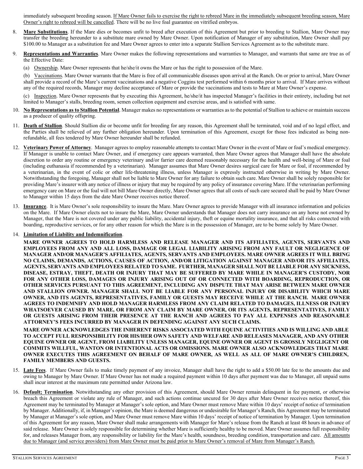immediately subsequent breeding season. If Mare Owner fails to exercise the right to rebreed Mare in the immediately subsequent breeding season, Mare Owner's right to rebreed will be cancelled. There will be no live foal guarantee on vitrified embryos.

- 8. **Mare Substitutions**. If the Mare dies or becomes unfit to breed after execution of this Agreement but prior to breeding to Stallion, Mare Owner may transfer the breeding hereunder to a substitute mare owned by Mare Owner. Upon notification of Manager of any substitution, Mare Owner shall pay \$100.00 to Manager as a substitution fee and Mare Owner agrees to enter into a separate Stallion Services Agreement as to the substitute mare.
- Representations and Warranties. Mare Owner makes the following representations and warranties to Manager, and warrants that same are true as of the Effective Date:
	- (a) Ownership. Mare Owner represents that he/she/it owns the Mare or has the right to possession of the Mare.

(b) Vaccinations. Mare Owner warrants that the Mare is free of all communicable diseases upon arrival at the Ranch. On or prior to arrival, Mare Owner shall provide a record of the Mare's current vaccinations and a negative Coggins test performed within 6 months prior to arrival. If Mare arrives without any of the required records, Manager may decline acceptance of Mare or provide the vaccinations and tests to Mare at Mare Owner's expense.

(c) Inspection. Mare Owner represents that by executing this Agreement, he/she/it has inspected Manager's facilities in their entirety, including but not limited to Manager's stalls, breeding room, semen collection equipment and exercise areas, and is satisfied with same.

- 10. **No Representations as to Stallion Potential**. Manager makes no representations or warranties as to the potential of Stallion to achieve or maintain success as a producer of quality offspring.
- 11. **Death of Stallion**. Should Stallion die or become unfit for breeding for any reason, this Agreement shall be terminated, void and of no legal effect, and the Parties shall be relieved of any further obligation hereunder. Upon termination of this Agreement, except for those fees indicated as being nonrefundable, all fees tendered by Mare Owner hereunder shall be refunded.
- 12. **Veterinary Power of Attorney**. Manager agrees to employ reasonable attempts to contact Mare Owner in the event of Mare or foal's medical emergency. If Manager is unable to contact Mare Owner, and if emergency care appears warranted, then Mare Owner agrees that Manager shall have the absolute discretion to order any routine or emergency veterinary and/or farrier care deemed reasonably necessary for the health and well-being of Mare or foal (including euthanasia if recommended by a veterinarian). Manager assumes that Mare Owner desires surgical care for Mare or foal, if recommended by a veterinarian, in the event of colic or other life-threatening illness, unless Manager is expressly instructed otherwise in writing by Mare Owner. Notwithstanding the foregoing, Manager shall not be liable to Mare Owner for any failure to obtain such care. Mare Owner shall be solely responsible for providing Mare's insurer with any notice of illness or injury that may be required by any policy of insurance covering Mare. If the veterinarian performing emergency care on Mare or the foal will not bill Mare Owner directly, Mare Owner agrees that all costs of such care secured shall be paid by Mare Owner to Manager within 15 days from the date Mare Owner receives notice thereof.
- 13. **Insurance**. It is Mare Owner's sole responsibility to insure the Mare. Mare Owner agrees to provide Manager with all insurance information and policies on the Mare. If Mare Owner elects not to insure the Mare, Mare Owner understands that Manager does not carry insurance on any horse not owned by Manager, that the Mare is not covered under any public liability, accidental injury, theft or equine mortality insurance, and that all risks connected with boarding, reproductive services, or for any other reason for which the Mare is in the possession of Manager, are to be borne solely by Mare Owner.

#### 14. **Limitation of Liability and Indemnification**.

**MARE OWNER AGREES TO HOLD HARMLESS AND RELEASE MANAGER AND ITS AFFILIATES, AGENTS, SERVANTS AND EMPLOYEES FROM ANY AND ALL LOSS, DAMAGE OR LEGAL LIABILITY ARISING FROM ANY FAULT OR NEGLIGENCE OF MANAGER AND/OR MANAGER'S AFFILIATES, AGENTS, SERVANTS AND EMPLOYEES. MARE OWNER AGREES IT WILL BRING NO CLAIMS, DEMANDS, ACTIONS, CAUSES OF ACTION, AND/OR LITIGATION AGAINST MANAGER AND/OR ITS AFFILIATES, AGENTS, SERVANTS AND EMPLOYEES RELATED TO SAME. FURTHER, MANAGER SHALL NOT BE LIABLE FOR ANY SICKNESS, DISEASE, ESTRAY, THEFT, DEATH OR INJURY THAT MAY BE SUFFERED BY MARE WHILE IN MANAGER'S CUSTODY, NOR FOR ANY OTHER LOSS, DAMAGES OR INJURY ARISING OUT OF OR CONNECTED WITH BOARDING, REPRODUCTION, OR OTHER SERVICES PURSUANT TO THIS AGREEMENT, INCLUDING ANY DISPUTE THAT MAY ARISE BETWEEN MARE OWNER AND STALLION OWNER. MANAGER SHALL NOT BE LIABLE FOR ANY PERSONAL INJURY OR DISABILITY WHICH MARE OWNER, AND ITS AGENTS, REPRESENTATIVES, FAMILY OR GUESTS MAY RECEIVE WHILE AT THE RANCH. MARE OWNER AGREES TO INDEMNIFY AND HOLD MANAGER HARMLESS FROM ANY CLAIM RELATED TO DAMAGES, ILLNESS OR INJURY WHATSOEVER CAUSED BY MARE, OR FROM ANY CLAIM BY MARE OWNER, OR ITS AGENTS, REPRESENTATIVES, FAMILY OR GUESTS ARISING FROM THEIR PRESENCE AT THE RANCH AND AGREES TO PAY ALL EXPENSES AND REASONABLE ATTORNEY'S FEES INCURRED BY MANAGER IN DEFENDING AGAINST ANY SUCH CLAIMS.** 

**MARE OWNER ACKNOWLEDGES THE INHERENT RISKS ASSOCIATED WITH EQUINE ACTIVITIES AND IS WILLING AND ABLE TO ACCEPT FULL RESPONSIBILITY FOR HIS/HER OWN SAFETY AND WELFARE AND RELEASES MANAGER, AND ANY OTHER EQUINE OWNER OR AGENT, FROM LIABILITY UNLESS MANAGER, EQUINE OWNER OR AGENT IS GROSSLY NEGLIGENT OR COMMITS WILLFUL, WANTON OR INTENTIONAL ACTS OR OMISSIONS. MARE OWNER ALSO ACKNOWLEDGES THAT MARE OWNER EXECUTES THIS AGREEMENT ON BEHALF OF MARE OWNER, AS WELL AS ALL OF MARE OWNER'S CHILDREN, FAMILY MEMBERS AND GUESTS.** 

- 15. **Late Fees**. If Mare Owner fails to make timely payment of any invoice, Manager shall have the right to add a \$50.00 late fee to the amounts due and owing to Manager by Mare Owner. If Mare Owner has not made a required payment within 10 days after payment was due to Manager, all unpaid sums shall incur interest at the maximum rate permitted under Arizona law.
- 16. **Default; Termination**. Notwithstanding any other provision of this Agreement, should Mare Owner remain delinquent in fee payment, or otherwise breach this Agreement or violate any rule of Manager, and such actions continue uncured for 30 days after Mare Owner receives notice thereof, this Agreement may be terminated by Manager at Manager's sole option, and Mare Owner must remove Mare within 10 days' receipt of notice of termination by Manager. Additionally, if, in Manager's opinion, the Mare is deemed dangerous or undesirable for Manager's Ranch, this Agreement may be terminated by Manager at Manager's sole option, and Mare Owner must remove Mare within 10 days' receipt of notice of termination by Manager. Upon termination of this Agreement for any reason, Mare Owner shall make arrangements with Manager for Mare's release from the Ranch at least 48 hours in advance of said release. Mare Owner is solely responsible for determining whether Mare is sufficiently healthy to be moved. Mare Owner assumes full responsibility for, and releases Manager from, any responsibility or liability for the Mare's health, soundness, breeding condition, transportation and care. All amounts due to Manager (and service providers) from Mare Owner must be paid prior to Mare Owner's removal of Mare from Manager's Ranch.